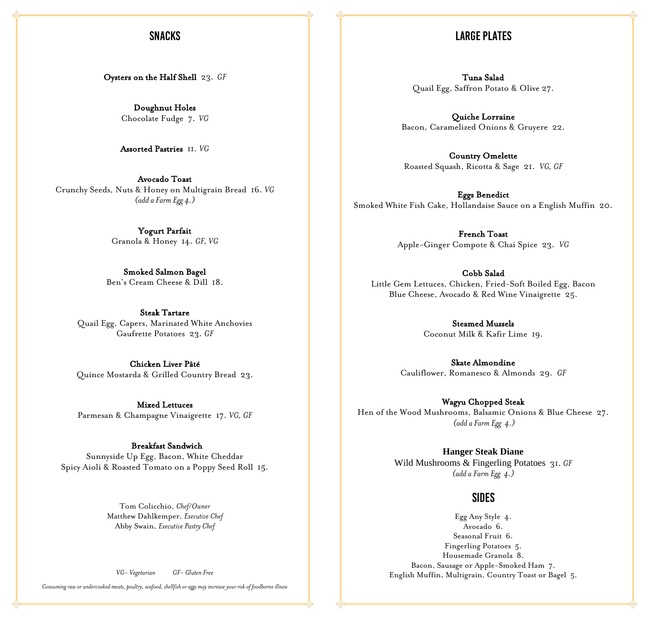## **SNACKS**

#### **LARGE PLATES**

Oysters on the Half Shell 23. *GF*

Doughnut Holes Chocolate Fudge 7. *VG*

Assorted Pastries 11. *VG*

Avocado Toast Crunchy Seeds, Nuts & Honey on Multigrain Bread 16. *VG (add a Farm Egg 4.)*

> Yogurt Parfait Granola & Honey 14. *GF, VG*

Smoked Salmon Bagel Ben's Cream Cheese & Dill 18.

Steak Tartare Quail Egg, Capers, Marinated White Anchovies Gaufrette Potatoes 23. *GF*

Chicken Liver Pâté Quince Mostarda & Grilled Country Bread 23.

Mixed Lettuces Parmesan & Champagne Vinaigrette 17. *VG, GF*

 Breakfast Sandwich Sunnyside Up Egg, Bacon, White Cheddar Spicy Aioli & Roasted Tomato on a Poppy Seed Roll 15.

> Tom Colicchio, *Chef/Owner* Matthew Dahlkemper, *Executive Chef* Abby Swain, *Executive Pastry Chef*

*VG- Vegetarian GF- Gluten Free*

*Consuming raw or undercooked meats, poultry, seafood, shellfish or eggs may increase your risk of foodborne illness*

Tuna Salad Quail Egg, Saffron Potato & Olive 27.

Quiche Lorraine Bacon, Caramelized Onions & Gruyere 22.

Country Omelette Roasted Squash, Ricotta & Sage 21. *VG, GF* 

Eggs Benedict Smoked White Fish Cake, Hollandaise Sauce on a English Muffin 20.

> French Toast Apple-Ginger Compote & Chai Spice 23. *VG*

Cobb Salad Little Gem Lettuces, Chicken, Fried-Soft Boiled Egg, Bacon Blue Cheese, Avocado & Red Wine Vinaigrette 25.

> Steamed Mussels Coconut Milk & Kafir Lime 19.

Skate Almondine Cauliflower, Romanesco & Almonds 29. *GF*

Wagyu Chopped Steak Hen of the Wood Mushrooms, Balsamic Onions & Blue Cheese 27. *(add a Farm Egg 4.)*

> **Hanger Steak Diane** Wild Mushrooms & Fingerling Potatoes 31. *GF (adda Farm Egg 4.)*

#### **SIDES**

Egg Any Style 4. Avocado 6. Seasonal Fruit 6. Fingerling Potatoes 5. Housemade Granola 8. Bacon, Sausage or Apple-Smoked Ham 7. English Muffin, Multigrain, Country Toast or Bagel 5.